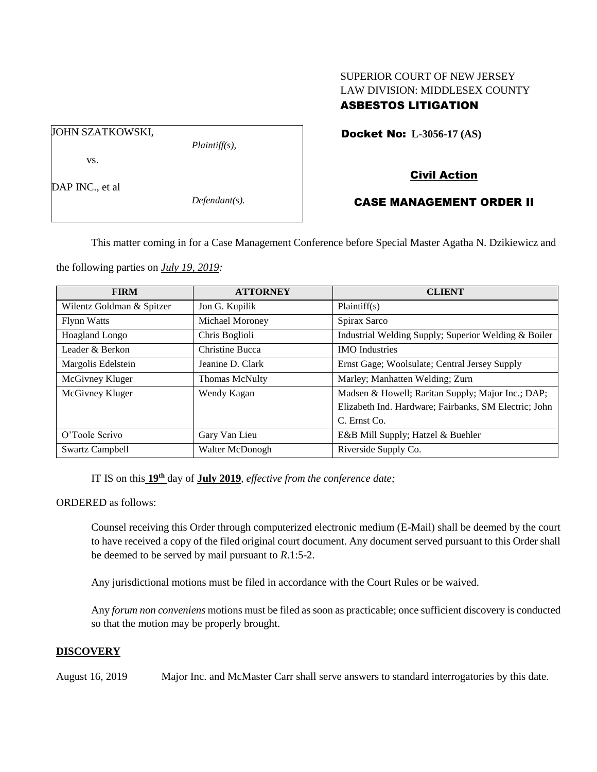# SUPERIOR COURT OF NEW JERSEY LAW DIVISION: MIDDLESEX COUNTY ASBESTOS LITIGATION

JOHN SZATKOWSKI,

*Plaintiff(s),*

vs.

DAP INC., et al.

*Defendant(s).*

Docket No: **L-3056-17 (AS)** 

# Civil Action

# CASE MANAGEMENT ORDER II

This matter coming in for a Case Management Conference before Special Master Agatha N. Dzikiewicz and

the following parties on *July 19, 2019:*

| <b>FIRM</b>               | <b>ATTORNEY</b>       | <b>CLIENT</b>                                         |
|---------------------------|-----------------------|-------------------------------------------------------|
| Wilentz Goldman & Spitzer | Jon G. Kupilik        | Plaintiff(s)                                          |
| <b>Flynn Watts</b>        | Michael Moroney       | Spirax Sarco                                          |
| <b>Hoagland Longo</b>     | Chris Boglioli        | Industrial Welding Supply; Superior Welding & Boiler  |
| Leader & Berkon           | Christine Bucca       | <b>IMO</b> Industries                                 |
| Margolis Edelstein        | Jeanine D. Clark      | Ernst Gage; Woolsulate; Central Jersey Supply         |
| McGivney Kluger           | <b>Thomas McNulty</b> | Marley; Manhatten Welding; Zurn                       |
| McGivney Kluger           | Wendy Kagan           | Madsen & Howell; Raritan Supply; Major Inc.; DAP;     |
|                           |                       | Elizabeth Ind. Hardware; Fairbanks, SM Electric; John |
|                           |                       | C. Ernst Co.                                          |
| O'Toole Scrivo            | Gary Van Lieu         | E&B Mill Supply; Hatzel & Buehler                     |
| Swartz Campbell           | Walter McDonogh       | Riverside Supply Co.                                  |

IT IS on this **19th** day of **July 2019**, *effective from the conference date;*

ORDERED as follows:

Counsel receiving this Order through computerized electronic medium (E-Mail) shall be deemed by the court to have received a copy of the filed original court document. Any document served pursuant to this Order shall be deemed to be served by mail pursuant to *R*.1:5-2.

Any jurisdictional motions must be filed in accordance with the Court Rules or be waived.

Any *forum non conveniens* motions must be filed as soon as practicable; once sufficient discovery is conducted so that the motion may be properly brought.

# **DISCOVERY**

August 16, 2019 Major Inc. and McMaster Carr shall serve answers to standard interrogatories by this date.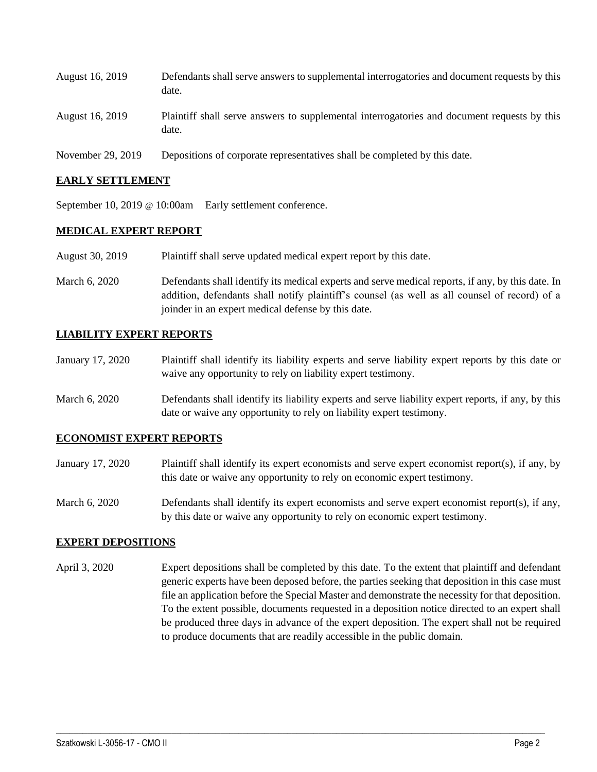| August 16, 2019 | Defendants shall serve answers to supplemental interrogatories and document requests by this<br>date. |
|-----------------|-------------------------------------------------------------------------------------------------------|
| August 16, 2019 | Plaintiff shall serve answers to supplemental interrogatories and document requests by this<br>date.  |

November 29, 2019 Depositions of corporate representatives shall be completed by this date.

#### **EARLY SETTLEMENT**

September 10, 2019 @ 10:00am Early settlement conference.

### **MEDICAL EXPERT REPORT**

- August 30, 2019 Plaintiff shall serve updated medical expert report by this date.
- March 6, 2020 Defendants shall identify its medical experts and serve medical reports, if any, by this date. In addition, defendants shall notify plaintiff's counsel (as well as all counsel of record) of a joinder in an expert medical defense by this date.

### **LIABILITY EXPERT REPORTS**

- January 17, 2020 Plaintiff shall identify its liability experts and serve liability expert reports by this date or waive any opportunity to rely on liability expert testimony.
- March 6, 2020 Defendants shall identify its liability experts and serve liability expert reports, if any, by this date or waive any opportunity to rely on liability expert testimony.

#### **ECONOMIST EXPERT REPORTS**

- January 17, 2020 Plaintiff shall identify its expert economists and serve expert economist report(s), if any, by this date or waive any opportunity to rely on economic expert testimony.
- March 6, 2020 Defendants shall identify its expert economists and serve expert economist report(s), if any, by this date or waive any opportunity to rely on economic expert testimony.

#### **EXPERT DEPOSITIONS**

April 3, 2020 Expert depositions shall be completed by this date. To the extent that plaintiff and defendant generic experts have been deposed before, the parties seeking that deposition in this case must file an application before the Special Master and demonstrate the necessity for that deposition. To the extent possible, documents requested in a deposition notice directed to an expert shall be produced three days in advance of the expert deposition. The expert shall not be required to produce documents that are readily accessible in the public domain.

 $\_$  , and the set of the set of the set of the set of the set of the set of the set of the set of the set of the set of the set of the set of the set of the set of the set of the set of the set of the set of the set of th